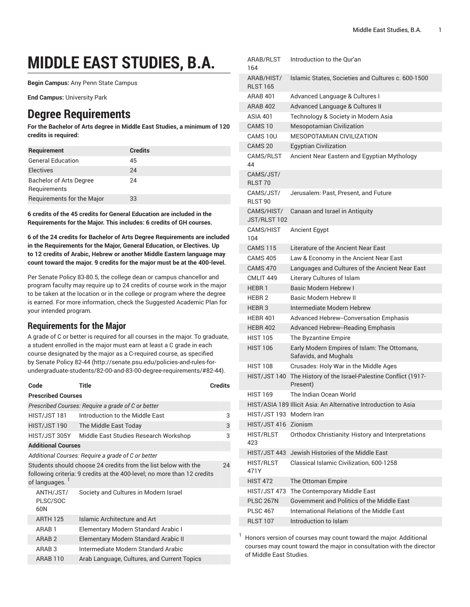# **MIDDLE EAST STUDIES, B.A.**

**Begin Campus:** Any Penn State Campus

**End Campus:** University Park

# **Degree Requirements**

**For the Bachelor of Arts degree in Middle East Studies, a minimum of 120 credits is required:**

| Requirement                                    | <b>Credits</b> |
|------------------------------------------------|----------------|
| <b>General Education</b>                       | 45             |
| <b>Electives</b>                               | 24             |
| <b>Bachelor of Arts Degree</b><br>Requirements | 24             |
| Requirements for the Major                     | 33             |

**6 credits of the 45 credits for General Education are included in the Requirements for the Major. This includes: 6 credits of GH courses.**

**6 of the 24 credits for Bachelor of Arts Degree Requirements are included in the Requirements for the Major, General Education, or Electives. Up to 12 credits of Arabic, Hebrew or another Middle Eastern language may count toward the major. 9 credits for the major must be at the 400-level.**

Per Senate Policy 83-80.5, the college dean or campus chancellor and program faculty may require up to 24 credits of course work in the major to be taken at the location or in the college or program where the degree is earned. For more information, check the Suggested Academic Plan for your intended program.

# **Requirements for the Major**

A grade of C or better is required for all courses in the major. To graduate, a student enrolled in the major must earn at least a C grade in each course designated by the major as a C-required course, as specified by [Senate](http://senate.psu.edu/policies-and-rules-for-undergraduate-students/82-00-and-83-00-degree-requirements/#82-44) Policy 82-44 [\(http://senate.psu.edu/policies-and-rules-for](http://senate.psu.edu/policies-and-rules-for-undergraduate-students/82-00-and-83-00-degree-requirements/#82-44)[undergraduate-students/82-00-and-83-00-degree-requirements/#82-44\)](http://senate.psu.edu/policies-and-rules-for-undergraduate-students/82-00-and-83-00-degree-requirements/#82-44).

| Code                                                                                                                                                             | Title                                       | <b>Credits</b> |  |
|------------------------------------------------------------------------------------------------------------------------------------------------------------------|---------------------------------------------|----------------|--|
| <b>Prescribed Courses</b>                                                                                                                                        |                                             |                |  |
| Prescribed Courses: Require a grade of C or better                                                                                                               |                                             |                |  |
| HIST/JST 181                                                                                                                                                     | Introduction to the Middle East             | 3              |  |
| HIST/JST 190                                                                                                                                                     | The Middle East Today                       | 3              |  |
| HIST/JST 305Y                                                                                                                                                    | Middle East Studies Research Workshop       | 3              |  |
| <b>Additional Courses</b>                                                                                                                                        |                                             |                |  |
| Additional Courses: Require a grade of C or better                                                                                                               |                                             |                |  |
| Students should choose 24 credits from the list below with the<br>24<br>following criteria: 9 credits at the 400-level; no more than 12 credits<br>of languages. |                                             |                |  |
| ANTH/JST/<br>PLSC/SOC<br>60N                                                                                                                                     | Society and Cultures in Modern Israel       |                |  |
| <b>ARTH 125</b>                                                                                                                                                  | Islamic Architecture and Art                |                |  |
| ARAB <sub>1</sub>                                                                                                                                                | Elementary Modern Standard Arabic I         |                |  |
| ARAB <sub>2</sub>                                                                                                                                                | Elementary Modern Standard Arabic II        |                |  |
| ARAB <sub>3</sub>                                                                                                                                                | Intermediate Modern Standard Arabic         |                |  |
| <b>ARAB 110</b>                                                                                                                                                  | Arab Language, Cultures, and Current Topics |                |  |

| ARAB/RLST<br>164                | Introduction to the Qur'an                                            |
|---------------------------------|-----------------------------------------------------------------------|
| ARAB/HIST/<br><b>RLST 165</b>   | Islamic States, Societies and Cultures c. 600-1500                    |
| ARAB 401                        | Advanced Language & Cultures I                                        |
| <b>ARAB 402</b>                 | Advanced Language & Cultures II                                       |
| <b>ASIA 401</b>                 | Technology & Society in Modern Asia                                   |
| CAMS <sub>10</sub>              | <b>Mesopotamian Civilization</b>                                      |
| CAMS 10U                        | <b>MESOPOTAMIAN CIVILIZATION</b>                                      |
| CAMS <sub>20</sub>              | <b>Egyptian Civilization</b>                                          |
| CAMS/RLST<br>44                 | Ancient Near Eastern and Egyptian Mythology                           |
| CAMS/JST/<br>RLST <sub>70</sub> |                                                                       |
| CAMS/JST/<br>RLST <sub>90</sub> | Jerusalem: Past, Present, and Future                                  |
| CAMS/HIST/<br>JST/RLST 102      | Canaan and Israel in Antiquity                                        |
| CAMS/HIST<br>104                | <b>Ancient Egypt</b>                                                  |
| <b>CAMS 115</b>                 | Literature of the Ancient Near East                                   |
| <b>CAMS 405</b>                 | Law & Economy in the Ancient Near East                                |
| <b>CAMS 470</b>                 | Languages and Cultures of the Ancient Near East                       |
| CMLIT <sub>449</sub>            | Literary Cultures of Islam                                            |
| HEBR <sub>1</sub>               | <b>Basic Modern Hebrew I</b>                                          |
| HEBR <sub>2</sub>               | Basic Modern Hebrew II                                                |
| HEBR <sub>3</sub>               | Intermediate Modern Hebrew                                            |
| <b>HEBR 401</b>                 | <b>Advanced Hebrew--Conversation Emphasis</b>                         |
| <b>HEBR 402</b>                 | <b>Advanced Hebrew--Reading Emphasis</b>                              |
| <b>HIST 105</b>                 | The Byzantine Empire                                                  |
| <b>HIST 106</b>                 | Early Modern Empires of Islam: The Ottomans,<br>Safavids, and Mughals |
| <b>HIST 108</b>                 | Crusades: Holy War in the Middle Ages                                 |
| HIST/JST 140                    | The History of the Israel-Palestine Conflict (1917-<br>Present)       |
| <b>HIST 169</b>                 | The Indian Ocean World                                                |
|                                 | HIST/ASIA 189 Illicit Asia: An Alternative Introduction to Asia       |
| HIST/JST 193 Modern Iran        |                                                                       |
| HIST/JST 416 Zionism            |                                                                       |
| <b>HIST/RLST</b><br>423         | Orthodox Christianity: History and Interpretations                    |
| HIST/JST 443                    | Jewish Histories of the Middle East                                   |
| <b>HIST/RLST</b><br>471Y        | Classical Islamic Civilization, 600-1258                              |
| <b>HIST 472</b>                 | The Ottoman Empire                                                    |
| HIST/JST 473                    | The Contemporary Middle East                                          |
| <b>PLSC 267N</b>                | Government and Politics of the Middle East                            |
| <b>PLSC 467</b>                 | International Relations of the Middle East                            |
| <b>RLST 107</b>                 | Introduction to Islam                                                 |
|                                 |                                                                       |

Honors version of courses may count toward the major. Additional courses may count toward the major in consultation with the director of Middle East Studies.